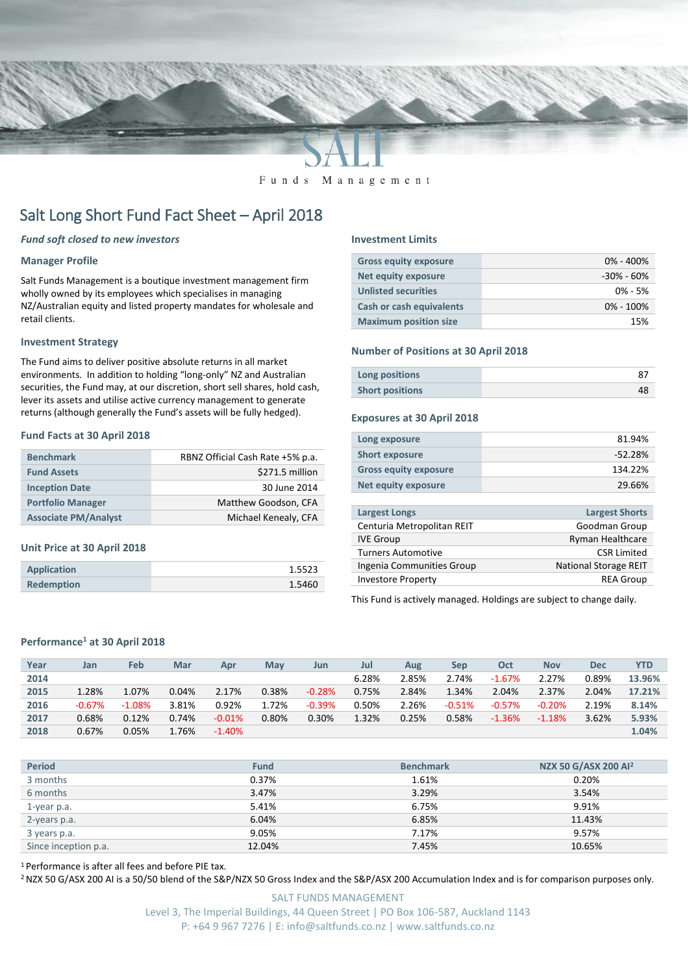

#### Funds Management

# Salt Long Short Fund Fact Sheet – April 2018

#### *Fund soft closed to new investors*

#### **Manager Profile**

Salt Funds Management is a boutique investment management firm wholly owned by its employees which specialises in managing NZ/Australian equity and listed property mandates for wholesale and retail clients.

#### **Investment Strategy**

The Fund aims to deliver positive absolute returns in all market environments. In addition to holding "long-only" NZ and Australian securities, the Fund may, at our discretion, short sell shares, hold cash, lever its assets and utilise active currency management to generate returns (although generally the Fund's assets will be fully hedged).

#### **Fund Facts at 30 April 2018**

| <b>Benchmark</b>            | RBNZ Official Cash Rate +5% p.a. |
|-----------------------------|----------------------------------|
| <b>Fund Assets</b>          | \$271.5 million                  |
| <b>Inception Date</b>       | 30 June 2014                     |
| <b>Portfolio Manager</b>    | Matthew Goodson, CFA             |
| <b>Associate PM/Analyst</b> | Michael Kenealy, CFA             |

#### **Unit Price at 30 April 2018**

| <b>Application</b> | 1.5523 |
|--------------------|--------|
| <b>Redemption</b>  | 1.5460 |

#### **Investment Limits**

| <b>Gross equity exposure</b>    | $0\% - 400\%$  |
|---------------------------------|----------------|
| <b>Net equity exposure</b>      | $-30\% - 60\%$ |
| <b>Unlisted securities</b>      | $0\% - 5\%$    |
| <b>Cash or cash equivalents</b> | $0\% - 100\%$  |
| <b>Maximum position size</b>    | 15%            |

#### **Number of Positions at 30 April 2018**

| Long positions         |  |
|------------------------|--|
| <b>Short positions</b> |  |

#### **Exposures at 30 April 2018**

| 29.66%    |
|-----------|
| 134.22%   |
| $-52.28%$ |
| 81.94%    |
|           |

| <b>Largest Longs</b>       | <b>Largest Shorts</b>        |
|----------------------------|------------------------------|
| Centuria Metropolitan REIT | Goodman Group                |
| <b>IVE Group</b>           | <b>Ryman Healthcare</b>      |
| <b>Turners Automotive</b>  | <b>CSR Limited</b>           |
| Ingenia Communities Group  | <b>National Storage REIT</b> |
| <b>Investore Property</b>  | <b>REA Group</b>             |
|                            |                              |

This Fund is actively managed. Holdings are subject to change daily.

#### **Performance<sup>1</sup> at 30 April 2018**

| Year | Jan      | <b>Feb</b> | Mar      | Apr       | May   | Jun      | Jul   | Aug   | Sep      | Oct      | <b>Nov</b> | Dec   | <b>YTD</b> |
|------|----------|------------|----------|-----------|-------|----------|-------|-------|----------|----------|------------|-------|------------|
| 2014 |          |            |          |           |       |          | 6.28% | 2.85% | 2.74%    | $-1.67%$ | 2.27%      | 0.89% | 13.96%     |
| 2015 | 1.28%    | 1.07%      | 0.04%    | 2.17%     | 0.38% | $-0.28%$ | 0.75% | 2.84% | 1.34%    | 2.04%    | 2.37%      | 2.04% | 17.21%     |
| 2016 | $-0.67%$ | $-1.08%$   | 3.81%    | 0.92%     | 1.72% | $-0.39%$ | 0.50% | 2.26% | $-0.51%$ | $-0.57%$ | $-0.20%$   | 2.19% | 8.14%      |
| 2017 | 0.68%    | 0.12%      | 0.74%    | $-0.01%$  | 0.80% | 0.30%    | 1.32% | 0.25% | 0.58%    | $-1.36%$ | $-1.18%$   | 3.62% | 5.93%      |
| 2018 | 0.67%    | 0.05%      | $1.76\%$ | $-1.40\%$ |       |          |       |       |          |          |            |       | 1.04%      |

| <b>Period</b>        | <b>Fund</b> | <b>Benchmark</b> | NZX 50 G/ASX 200 Al <sup>2</sup> |
|----------------------|-------------|------------------|----------------------------------|
| 3 months             | 0.37%       | 1.61%            | 0.20%                            |
| 6 months             | 3.47%       | 3.29%            | 3.54%                            |
| 1-year p.a.          | 5.41%       | 6.75%            | 9.91%                            |
| 2-years p.a.         | 6.04%       | 6.85%            | 11.43%                           |
| 3 years p.a.         | 9.05%       | 7.17%            | 9.57%                            |
| Since inception p.a. | 12.04%      | 7.45%            | 10.65%                           |

<sup>1</sup> Performance is after all fees and before PIE tax.

<sup>2</sup> NZX 50 G/ASX 200 AI is a 50/50 blend of the S&P/NZX 50 Gross Index and the S&P/ASX 200 Accumulation Index and is for comparison purposes only.

SALT FUNDS MANAGEMENT Level 3, The Imperial Buildings, 44 Queen Street | PO Box 106-587, Auckland 1143 P: +64 9 967 7276 | E: info@saltfunds.co.nz | www.saltfunds.co.nz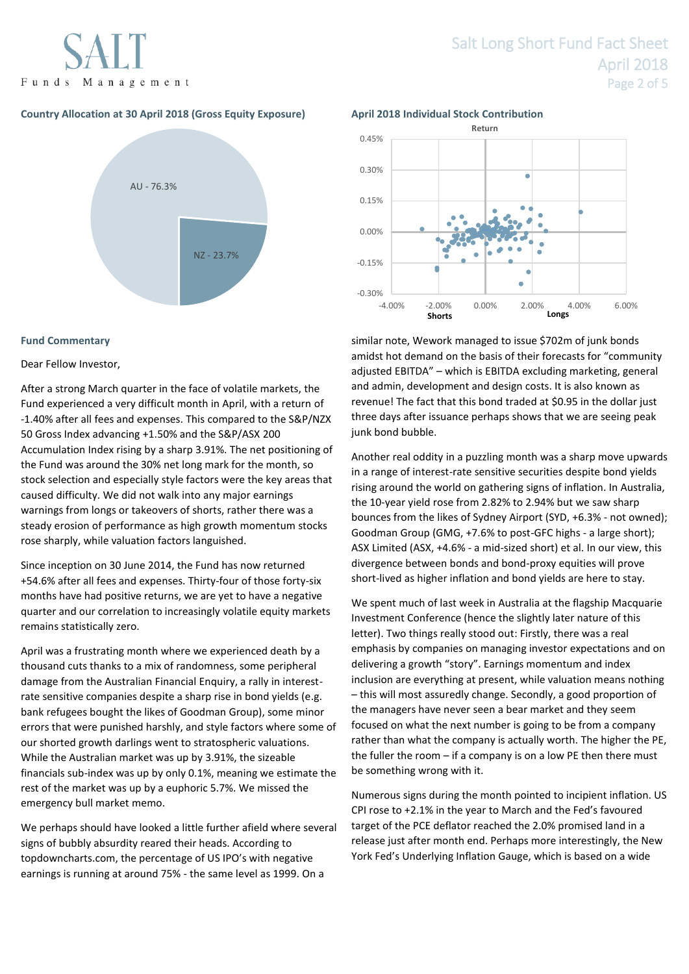

## **Country Allocation at 30 April 2018 (Gross Equity Exposure) April 2018 Individual Stock Contribution**



### **Fund Commentary**

#### Dear Fellow Investor,

After a strong March quarter in the face of volatile markets, the Fund experienced a very difficult month in April, with a return of -1.40% after all fees and expenses. This compared to the S&P/NZX 50 Gross Index advancing +1.50% and the S&P/ASX 200 Accumulation Index rising by a sharp 3.91%. The net positioning of the Fund was around the 30% net long mark for the month, so stock selection and especially style factors were the key areas that caused difficulty. We did not walk into any major earnings warnings from longs or takeovers of shorts, rather there was a steady erosion of performance as high growth momentum stocks rose sharply, while valuation factors languished.

Since inception on 30 June 2014, the Fund has now returned +54.6% after all fees and expenses. Thirty-four of those forty-six months have had positive returns, we are yet to have a negative quarter and our correlation to increasingly volatile equity markets remains statistically zero.

April was a frustrating month where we experienced death by a thousand cuts thanks to a mix of randomness, some peripheral damage from the Australian Financial Enquiry, a rally in interestrate sensitive companies despite a sharp rise in bond yields (e.g. bank refugees bought the likes of Goodman Group), some minor errors that were punished harshly, and style factors where some of our shorted growth darlings went to stratospheric valuations. While the Australian market was up by 3.91%, the sizeable financials sub-index was up by only 0.1%, meaning we estimate the rest of the market was up by a euphoric 5.7%. We missed the emergency bull market memo.

We perhaps should have looked a little further afield where several signs of bubbly absurdity reared their heads. According to topdowncharts.com, the percentage of US IPO's with negative earnings is running at around 75% - the same level as 1999. On a

## Salt Long Short Fund Fact Sheet April 2018 Page 2 of 5



similar note, Wework managed to issue \$702m of junk bonds amidst hot demand on the basis of their forecasts for "community adjusted EBITDA" – which is EBITDA excluding marketing, general and admin, development and design costs. It is also known as revenue! The fact that this bond traded at \$0.95 in the dollar just three days after issuance perhaps shows that we are seeing peak junk bond bubble.

Another real oddity in a puzzling month was a sharp move upwards in a range of interest-rate sensitive securities despite bond yields rising around the world on gathering signs of inflation. In Australia, the 10-year yield rose from 2.82% to 2.94% but we saw sharp bounces from the likes of Sydney Airport (SYD, +6.3% - not owned); Goodman Group (GMG, +7.6% to post-GFC highs - a large short); ASX Limited (ASX, +4.6% - a mid-sized short) et al. In our view, this divergence between bonds and bond-proxy equities will prove short-lived as higher inflation and bond yields are here to stay.

We spent much of last week in Australia at the flagship Macquarie Investment Conference (hence the slightly later nature of this letter). Two things really stood out: Firstly, there was a real emphasis by companies on managing investor expectations and on delivering a growth "story". Earnings momentum and index inclusion are everything at present, while valuation means nothing – this will most assuredly change. Secondly, a good proportion of the managers have never seen a bear market and they seem focused on what the next number is going to be from a company rather than what the company is actually worth. The higher the PE, the fuller the room – if a company is on a low PE then there must be something wrong with it.

Numerous signs during the month pointed to incipient inflation. US CPI rose to +2.1% in the year to March and the Fed's favoured target of the PCE deflator reached the 2.0% promised land in a release just after month end. Perhaps more interestingly, the New York Fed's Underlying Inflation Gauge, which is based on a wide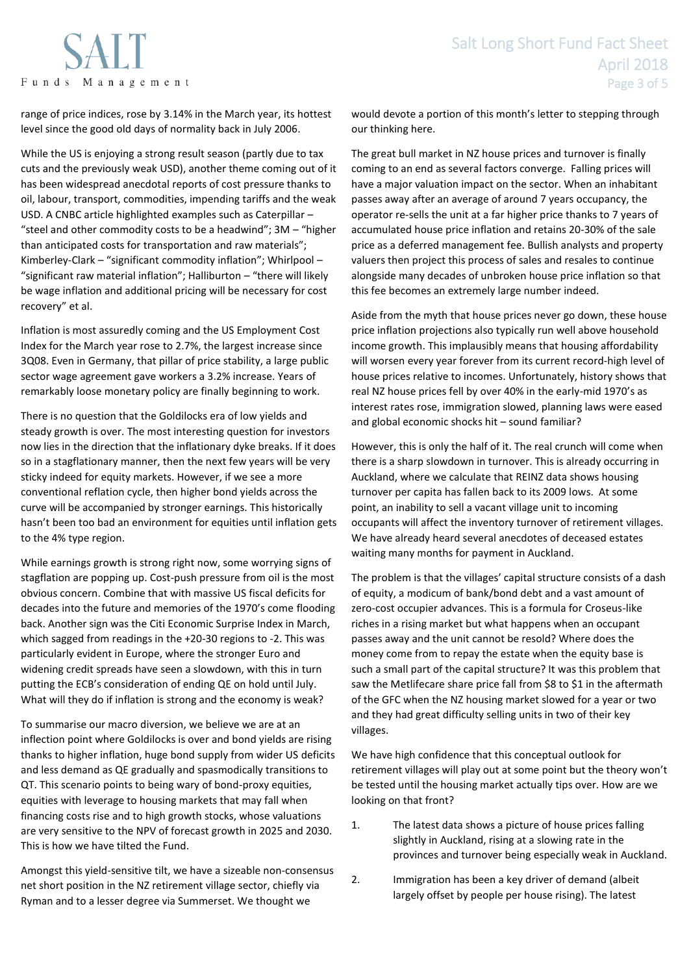

range of price indices, rose by 3.14% in the March year, its hottest level since the good old days of normality back in July 2006.

While the US is enjoying a strong result season (partly due to tax cuts and the previously weak USD), another theme coming out of it has been widespread anecdotal reports of cost pressure thanks to oil, labour, transport, commodities, impending tariffs and the weak USD. A CNBC article highlighted examples such as Caterpillar – "steel and other commodity costs to be a headwind"; 3M – "higher than anticipated costs for transportation and raw materials"; Kimberley-Clark – "significant commodity inflation"; Whirlpool – "significant raw material inflation"; Halliburton – "there will likely be wage inflation and additional pricing will be necessary for cost recovery" et al.

Inflation is most assuredly coming and the US Employment Cost Index for the March year rose to 2.7%, the largest increase since 3Q08. Even in Germany, that pillar of price stability, a large public sector wage agreement gave workers a 3.2% increase. Years of remarkably loose monetary policy are finally beginning to work.

There is no question that the Goldilocks era of low yields and steady growth is over. The most interesting question for investors now lies in the direction that the inflationary dyke breaks. If it does so in a stagflationary manner, then the next few years will be very sticky indeed for equity markets. However, if we see a more conventional reflation cycle, then higher bond yields across the curve will be accompanied by stronger earnings. This historically hasn't been too bad an environment for equities until inflation gets to the 4% type region.

While earnings growth is strong right now, some worrying signs of stagflation are popping up. Cost-push pressure from oil is the most obvious concern. Combine that with massive US fiscal deficits for decades into the future and memories of the 1970's come flooding back. Another sign was the Citi Economic Surprise Index in March, which sagged from readings in the +20-30 regions to -2. This was particularly evident in Europe, where the stronger Euro and widening credit spreads have seen a slowdown, with this in turn putting the ECB's consideration of ending QE on hold until July. What will they do if inflation is strong and the economy is weak?

To summarise our macro diversion, we believe we are at an inflection point where Goldilocks is over and bond yields are rising thanks to higher inflation, huge bond supply from wider US deficits and less demand as QE gradually and spasmodically transitions to QT. This scenario points to being wary of bond-proxy equities, equities with leverage to housing markets that may fall when financing costs rise and to high growth stocks, whose valuations are very sensitive to the NPV of forecast growth in 2025 and 2030. This is how we have tilted the Fund.

Amongst this yield-sensitive tilt, we have a sizeable non-consensus net short position in the NZ retirement village sector, chiefly via Ryman and to a lesser degree via Summerset. We thought we

would devote a portion of this month's letter to stepping through our thinking here.

The great bull market in NZ house prices and turnover is finally coming to an end as several factors converge. Falling prices will have a major valuation impact on the sector. When an inhabitant passes away after an average of around 7 years occupancy, the operator re-sells the unit at a far higher price thanks to 7 years of accumulated house price inflation and retains 20-30% of the sale price as a deferred management fee. Bullish analysts and property valuers then project this process of sales and resales to continue alongside many decades of unbroken house price inflation so that this fee becomes an extremely large number indeed.

Aside from the myth that house prices never go down, these house price inflation projections also typically run well above household income growth. This implausibly means that housing affordability will worsen every year forever from its current record-high level of house prices relative to incomes. Unfortunately, history shows that real NZ house prices fell by over 40% in the early-mid 1970's as interest rates rose, immigration slowed, planning laws were eased and global economic shocks hit – sound familiar?

However, this is only the half of it. The real crunch will come when there is a sharp slowdown in turnover. This is already occurring in Auckland, where we calculate that REINZ data shows housing turnover per capita has fallen back to its 2009 lows. At some point, an inability to sell a vacant village unit to incoming occupants will affect the inventory turnover of retirement villages. We have already heard several anecdotes of deceased estates waiting many months for payment in Auckland.

The problem is that the villages' capital structure consists of a dash of equity, a modicum of bank/bond debt and a vast amount of zero-cost occupier advances. This is a formula for Croseus-like riches in a rising market but what happens when an occupant passes away and the unit cannot be resold? Where does the money come from to repay the estate when the equity base is such a small part of the capital structure? It was this problem that saw the Metlifecare share price fall from \$8 to \$1 in the aftermath of the GFC when the NZ housing market slowed for a year or two and they had great difficulty selling units in two of their key villages.

We have high confidence that this conceptual outlook for retirement villages will play out at some point but the theory won't be tested until the housing market actually tips over. How are we looking on that front?

- 1. The latest data shows a picture of house prices falling slightly in Auckland, rising at a slowing rate in the provinces and turnover being especially weak in Auckland.
- 2. Immigration has been a key driver of demand (albeit largely offset by people per house rising). The latest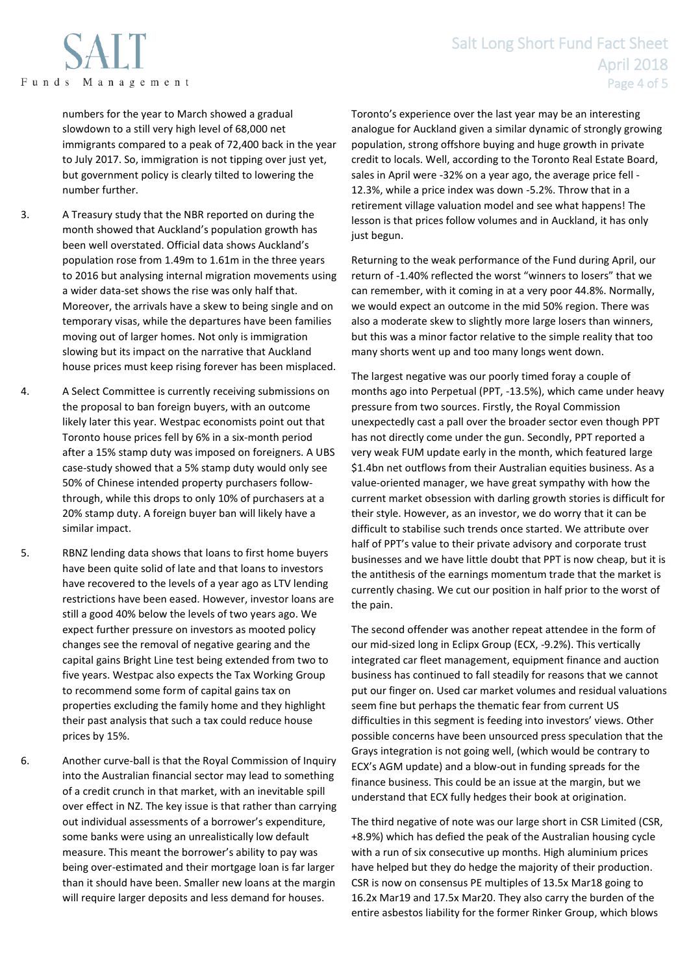## Salt Long Short Fund Fact Sheet April 2018 Page 4 of 5

numbers for the year to March showed a gradual slowdown to a still very high level of 68,000 net immigrants compared to a peak of 72,400 back in the year to July 2017. So, immigration is not tipping over just yet, but government policy is clearly tilted to lowering the number further.

- 3. A Treasury study that the NBR reported on during the month showed that Auckland's population growth has been well overstated. Official data shows Auckland's population rose from 1.49m to 1.61m in the three years to 2016 but analysing internal migration movements using a wider data-set shows the rise was only half that. Moreover, the arrivals have a skew to being single and on temporary visas, while the departures have been families moving out of larger homes. Not only is immigration slowing but its impact on the narrative that Auckland house prices must keep rising forever has been misplaced.
- 4. A Select Committee is currently receiving submissions on the proposal to ban foreign buyers, with an outcome likely later this year. Westpac economists point out that Toronto house prices fell by 6% in a six-month period after a 15% stamp duty was imposed on foreigners. A UBS case-study showed that a 5% stamp duty would only see 50% of Chinese intended property purchasers followthrough, while this drops to only 10% of purchasers at a 20% stamp duty. A foreign buyer ban will likely have a similar impact.
- 5. RBNZ lending data shows that loans to first home buyers have been quite solid of late and that loans to investors have recovered to the levels of a year ago as LTV lending restrictions have been eased. However, investor loans are still a good 40% below the levels of two years ago. We expect further pressure on investors as mooted policy changes see the removal of negative gearing and the capital gains Bright Line test being extended from two to five years. Westpac also expects the Tax Working Group to recommend some form of capital gains tax on properties excluding the family home and they highlight their past analysis that such a tax could reduce house prices by 15%.
- 6. Another curve-ball is that the Royal Commission of Inquiry into the Australian financial sector may lead to something of a credit crunch in that market, with an inevitable spill over effect in NZ. The key issue is that rather than carrying out individual assessments of a borrower's expenditure, some banks were using an unrealistically low default measure. This meant the borrower's ability to pay was being over-estimated and their mortgage loan is far larger than it should have been. Smaller new loans at the margin will require larger deposits and less demand for houses.

Toronto's experience over the last year may be an interesting analogue for Auckland given a similar dynamic of strongly growing population, strong offshore buying and huge growth in private credit to locals. Well, according to the Toronto Real Estate Board, sales in April were -32% on a year ago, the average price fell - 12.3%, while a price index was down -5.2%. Throw that in a retirement village valuation model and see what happens! The lesson is that prices follow volumes and in Auckland, it has only just begun.

Returning to the weak performance of the Fund during April, our return of -1.40% reflected the worst "winners to losers" that we can remember, with it coming in at a very poor 44.8%. Normally, we would expect an outcome in the mid 50% region. There was also a moderate skew to slightly more large losers than winners, but this was a minor factor relative to the simple reality that too many shorts went up and too many longs went down.

The largest negative was our poorly timed foray a couple of months ago into Perpetual (PPT, -13.5%), which came under heavy pressure from two sources. Firstly, the Royal Commission unexpectedly cast a pall over the broader sector even though PPT has not directly come under the gun. Secondly, PPT reported a very weak FUM update early in the month, which featured large \$1.4bn net outflows from their Australian equities business. As a value-oriented manager, we have great sympathy with how the current market obsession with darling growth stories is difficult for their style. However, as an investor, we do worry that it can be difficult to stabilise such trends once started. We attribute over half of PPT's value to their private advisory and corporate trust businesses and we have little doubt that PPT is now cheap, but it is the antithesis of the earnings momentum trade that the market is currently chasing. We cut our position in half prior to the worst of the pain.

The second offender was another repeat attendee in the form of our mid-sized long in Eclipx Group (ECX, -9.2%). This vertically integrated car fleet management, equipment finance and auction business has continued to fall steadily for reasons that we cannot put our finger on. Used car market volumes and residual valuations seem fine but perhaps the thematic fear from current US difficulties in this segment is feeding into investors' views. Other possible concerns have been unsourced press speculation that the Grays integration is not going well, (which would be contrary to ECX's AGM update) and a blow-out in funding spreads for the finance business. This could be an issue at the margin, but we understand that ECX fully hedges their book at origination.

The third negative of note was our large short in CSR Limited (CSR, +8.9%) which has defied the peak of the Australian housing cycle with a run of six consecutive up months. High aluminium prices have helped but they do hedge the majority of their production. CSR is now on consensus PE multiples of 13.5x Mar18 going to 16.2x Mar19 and 17.5x Mar20. They also carry the burden of the entire asbestos liability for the former Rinker Group, which blows